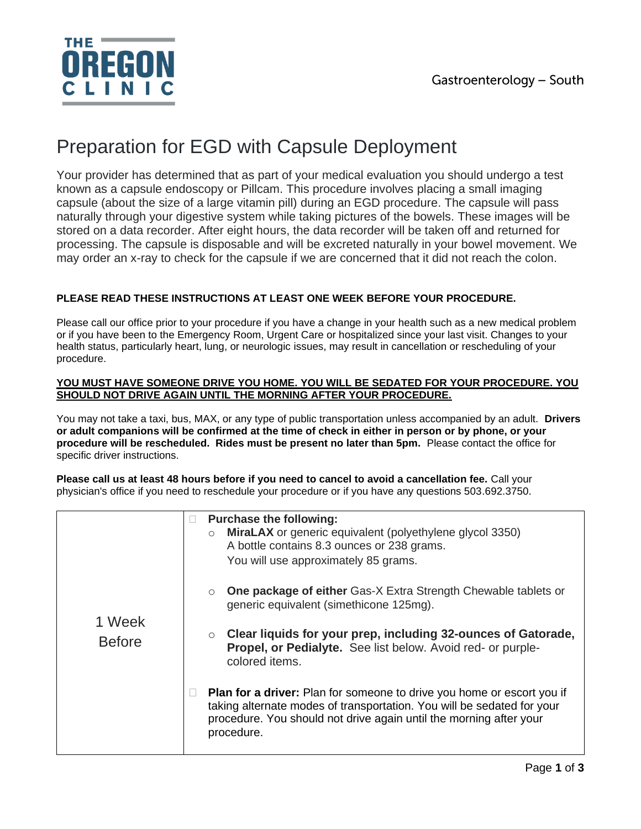

# Preparation for EGD with Capsule Deployment

Your provider has determined that as part of your medical evaluation you should undergo a test known as a capsule endoscopy or Pillcam. This procedure involves placing a small imaging capsule (about the size of a large vitamin pill) during an EGD procedure. The capsule will pass naturally through your digestive system while taking pictures of the bowels. These images will be stored on a data recorder. After eight hours, the data recorder will be taken off and returned for processing. The capsule is disposable and will be excreted naturally in your bowel movement. We may order an x-ray to check for the capsule if we are concerned that it did not reach the colon.

## **PLEASE READ THESE INSTRUCTIONS AT LEAST ONE WEEK BEFORE YOUR PROCEDURE.**

Please call our office prior to your procedure if you have a change in your health such as a new medical problem or if you have been to the Emergency Room, Urgent Care or hospitalized since your last visit. Changes to your health status, particularly heart, lung, or neurologic issues, may result in cancellation or rescheduling of your procedure.

#### **YOU MUST HAVE SOMEONE DRIVE YOU HOME. YOU WILL BE SEDATED FOR YOUR PROCEDURE. YOU SHOULD NOT DRIVE AGAIN UNTIL THE MORNING AFTER YOUR PROCEDURE.**

You may not take a taxi, bus, MAX, or any type of public transportation unless accompanied by an adult. **Drivers or adult companions will be confirmed at the time of check in either in person or by phone, or your procedure will be rescheduled. Rides must be present no later than 5pm.** Please contact the office for specific driver instructions.

**Please call us at least 48 hours before if you need to cancel to avoid a cancellation fee.** Call your physician's office if you need to reschedule your procedure or if you have any questions 503.692.3750.

| 1 Week<br><b>Before</b> | <b>Purchase the following:</b><br>$\mathbf{L}$<br>MiraLAX or generic equivalent (polyethylene glycol 3350)<br>$\circ$<br>A bottle contains 8.3 ounces or 238 grams.<br>You will use approximately 85 grams.                                 |
|-------------------------|---------------------------------------------------------------------------------------------------------------------------------------------------------------------------------------------------------------------------------------------|
|                         | <b>One package of either Gas-X Extra Strength Chewable tablets or</b><br>$\circ$<br>generic equivalent (simethicone 125mg).                                                                                                                 |
|                         | Clear liquids for your prep, including 32-ounces of Gatorade,<br>$\circ$<br>Propel, or Pedialyte. See list below. Avoid red- or purple-<br>colored items.                                                                                   |
|                         | <b>Plan for a driver:</b> Plan for someone to drive you home or escort you if<br>taking alternate modes of transportation. You will be sedated for your<br>procedure. You should not drive again until the morning after your<br>procedure. |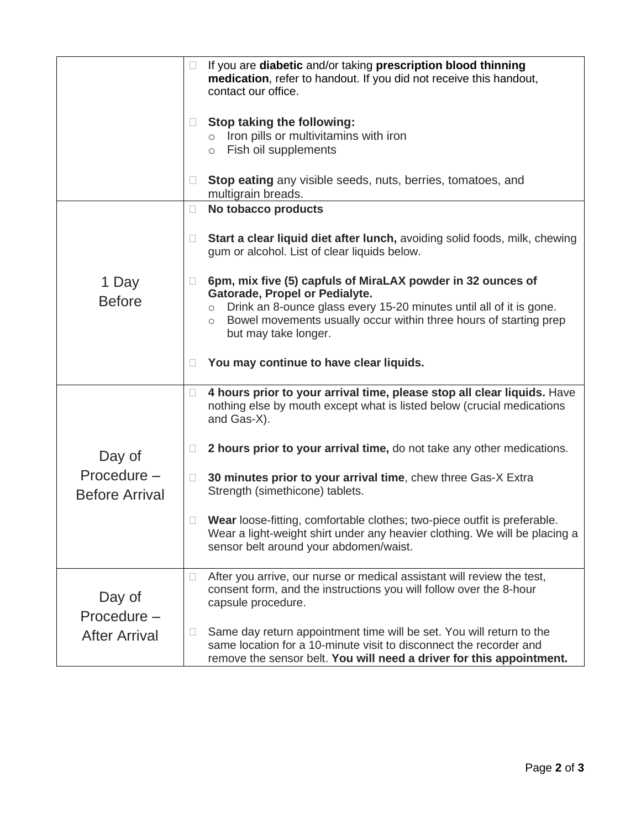|                                               | □                  | If you are diabetic and/or taking prescription blood thinning<br>medication, refer to handout. If you did not receive this handout,<br>contact our office.                                                         |
|-----------------------------------------------|--------------------|--------------------------------------------------------------------------------------------------------------------------------------------------------------------------------------------------------------------|
|                                               |                    | Stop taking the following:<br>$\circ$ Iron pills or multivitamins with iron<br>o Fish oil supplements                                                                                                              |
|                                               | $\mathbf{L}$       | <b>Stop eating</b> any visible seeds, nuts, berries, tomatoes, and<br>multigrain breads.                                                                                                                           |
| 1 Day<br><b>Before</b>                        | $\Box$             | No tobacco products                                                                                                                                                                                                |
|                                               | $\Box$             | Start a clear liquid diet after lunch, avoiding solid foods, milk, chewing<br>gum or alcohol. List of clear liquids below.                                                                                         |
|                                               |                    | 6pm, mix five (5) capfuls of MiraLAX powder in 32 ounces of                                                                                                                                                        |
|                                               | $\circ$<br>$\circ$ | Gatorade, Propel or Pedialyte.<br>Drink an 8-ounce glass every 15-20 minutes until all of it is gone.<br>Bowel movements usually occur within three hours of starting prep<br>but may take longer.                 |
|                                               | $\mathbf{L}$       | You may continue to have clear liquids.                                                                                                                                                                            |
| Day of<br>Procedure-<br><b>Before Arrival</b> | $\Box$             | 4 hours prior to your arrival time, please stop all clear liquids. Have<br>nothing else by mouth except what is listed below (crucial medications<br>and Gas-X).                                                   |
|                                               | $\Box$             | 2 hours prior to your arrival time, do not take any other medications.                                                                                                                                             |
|                                               | $\Box$             | 30 minutes prior to your arrival time, chew three Gas-X Extra<br>Strength (simethicone) tablets.                                                                                                                   |
|                                               |                    | Wear loose-fitting, comfortable clothes; two-piece outfit is preferable.<br>Wear a light-weight shirt under any heavier clothing. We will be placing a<br>sensor belt around your abdomen/waist.                   |
| Day of<br>Procedure-<br><b>After Arrival</b>  | u                  | After you arrive, our nurse or medical assistant will review the test,<br>consent form, and the instructions you will follow over the 8-hour<br>capsule procedure.                                                 |
|                                               |                    | Same day return appointment time will be set. You will return to the<br>same location for a 10-minute visit to disconnect the recorder and<br>remove the sensor belt. You will need a driver for this appointment. |